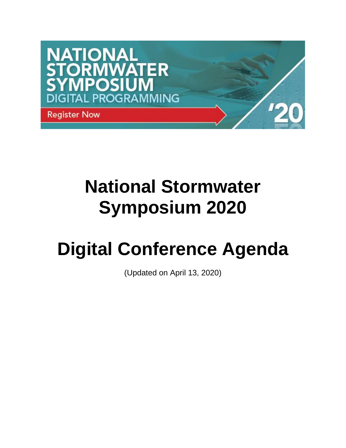

# **National Stormwater Symposium 2020**

# **Digital Conference Agenda**

(Updated on April 13, 2020)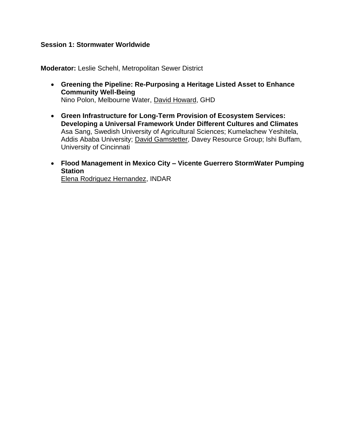#### **Session 1: Stormwater Worldwide**

**Moderator:** Leslie Schehl, Metropolitan Sewer District

- **Greening the Pipeline: Re-Purposing a Heritage Listed Asset to Enhance Community Well-Being** Nino Polon, Melbourne Water, David Howard, GHD
- **Green Infrastructure for Long-Term Provision of Ecosystem Services: Developing a Universal Framework Under Different Cultures and Climates** Asa Sang, Swedish University of Agricultural Sciences; Kumelachew Yeshitela, Addis Ababa University; David Gamstetter, Davey Resource Group; Ishi Buffam, University of Cincinnati
- **Flood Management in Mexico City – Vicente Guerrero StormWater Pumping Station** Elena Rodriguez Hernandez, INDAR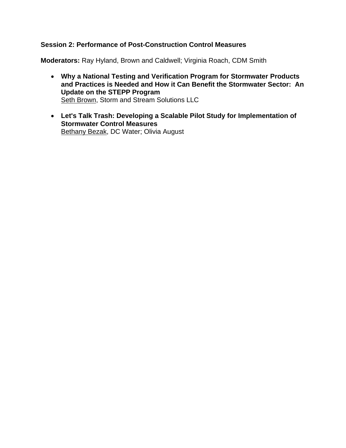#### **Session 2: Performance of Post-Construction Control Measures**

**Moderators:** Ray Hyland, Brown and Caldwell; Virginia Roach, CDM Smith

- **Why a National Testing and Verification Program for Stormwater Products and Practices is Needed and How it Can Benefit the Stormwater Sector: An Update on the STEPP Program Seth Brown, Storm and Stream Solutions LLC**
- **Let's Talk Trash: Developing a Scalable Pilot Study for Implementation of Stormwater Control Measures Bethany Bezak, DC Water; Olivia August**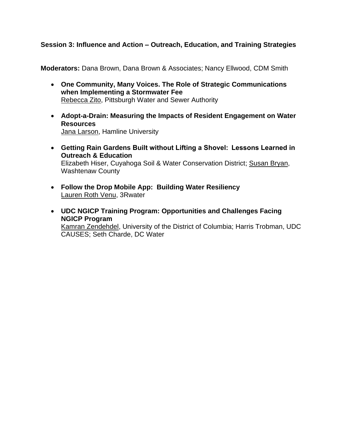## **Session 3: Influence and Action – Outreach, Education, and Training Strategies**

**Moderators:** Dana Brown, Dana Brown & Associates; Nancy Ellwood, CDM Smith

- **One Community, Many Voices. The Role of Strategic Communications when Implementing a Stormwater Fee** Rebecca Zito, Pittsburgh Water and Sewer Authority
- **Adopt-a-Drain: Measuring the Impacts of Resident Engagement on Water Resources** Jana Larson, Hamline University
- **Getting Rain Gardens Built without Lifting a Shovel:  Lessons Learned in Outreach & Education** Elizabeth Hiser, Cuyahoga Soil & Water Conservation District; Susan Bryan, Washtenaw County
- **Follow the Drop Mobile App: Building Water Resiliency** Lauren Roth Venu, 3Rwater
- **UDC NGICP Training Program: Opportunities and Challenges Facing NGICP Program** Kamran Zendehdel, University of the District of Columbia; Harris Trobman, UDC CAUSES; Seth Charde, DC Water